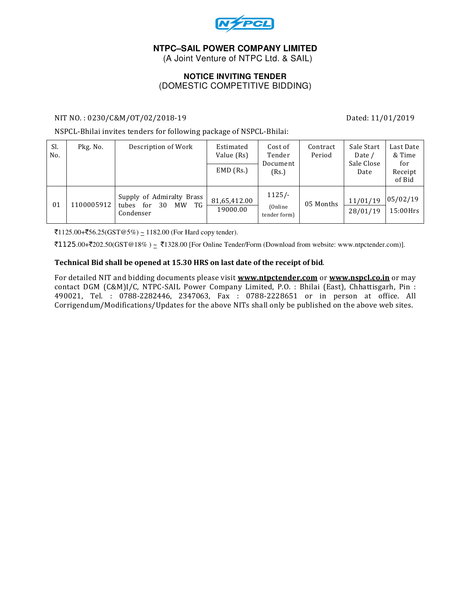

# **NTPC–SAIL POWER COMPANY LIMITED**

(A Joint Venture of NTPC Ltd. & SAIL)

## **NOTICE INVITING TENDER**  (DOMESTIC COMPETITIVE BIDDING)

## NIT NO. : 0230/C&M/OT/02/2018-19 Dated: 11/01/2019

NSPCL-Bhilai invites tenders for following package of NSPCL-Bhilai:

| SI.<br>No.     | Pkg. No.   | Description of Work                                                      | Estimated<br>Value (Rs)  | Cost of<br>Tender<br>Document        | Contract<br>Period | Sale Start<br>Date /<br>Sale Close<br>Date | Last Date<br>& Time<br>for |
|----------------|------------|--------------------------------------------------------------------------|--------------------------|--------------------------------------|--------------------|--------------------------------------------|----------------------------|
|                |            |                                                                          | $EMD$ (Rs.)              | (Rs.)                                |                    |                                            | Receipt<br>of Bid          |
| 0 <sub>1</sub> | 1100005912 | Supply of Admiralty Brass<br>TG<br>tubes<br>for<br>30<br>MW<br>Condenser | 81,65,412.00<br>19000.00 | $1125/-$<br>(Online)<br>tender form) | 05 Months          | 11/01/19<br>28/01/19                       | 05/02/19<br>$15:00$ Hrs    |

 $\overline{51125.00} + \overline{556.25}$ (GST@5%) ~ 1182.00 (For Hard copy tender).

 $\text{\textsterling}1125.00+\text{\textsterling}202.50(GST@18%) \simeq \text{\textsterling}1328.00$  [For Online Tender/Form (Download from website: www.ntpctender.com)].

## Technical Bid shall be opened at 15.30 HRS on last date of the receipt of bid.

For detailed NIT and bidding documents please visit **www.ntpctender.com** or www.nspcl.co.in or may contact DGM (C&M)I/C, NTPC-SAIL Power Company Limited, P.O. : Bhilai (East), Chhattisgarh, Pin : 490021, Tel. : 0788-2282446, 2347063, Fax : 0788-2228651 or in person at office. All Corrigendum/Modifications/Updates for the above NITs shall only be published on the above web sites.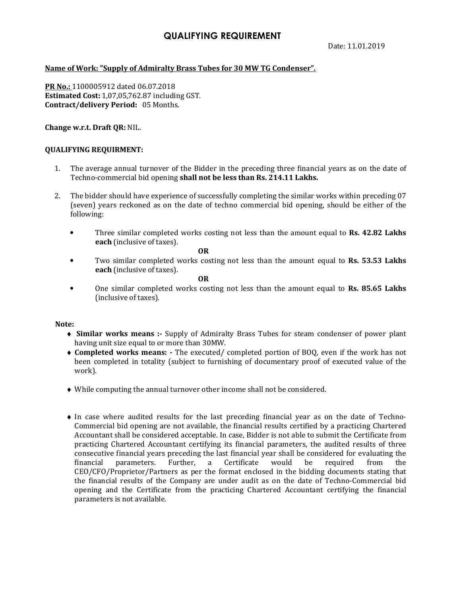# QUALIFYING REQUIREMENT

## Name of Work: "Supply of Admiralty Brass Tubes for 30 MW TG Condenser".

PR No.: 1100005912 dated 06.07.2018 Estimated Cost: 1,07,05,762.87 including GST. Contract/delivery Period: 05 Months.

## Change w.r.t. Draft QR: NIL.

## QUALIFYING REQUIRMENT:

- 1. The average annual turnover of the Bidder in the preceding three financial years as on the date of Techno-commercial bid opening shall not be less than Rs. 214.11 Lakhs.
- 2. The bidder should have experience of successfully completing the similar works within preceding 07 (seven) years reckoned as on the date of techno commercial bid opening, should be either of the following:
	- Three similar completed works costing not less than the amount equal to Rs. 42.82 Lakhs each (inclusive of taxes).

**OR** 

Two similar completed works costing not less than the amount equal to Rs. 53.53 Lakhs each (inclusive of taxes).

**OR** 

• One similar completed works costing not less than the amount equal to Rs. 85.65 Lakhs (inclusive of taxes).

#### Note:

- ♦ Similar works means :- Supply of Admiralty Brass Tubes for steam condenser of power plant having unit size equal to or more than 30MW.
- ♦ Completed works means: The executed/ completed portion of BOQ, even if the work has not been completed in totality (subject to furnishing of documentary proof of executed value of the work).
- ♦ While computing the annual turnover other income shall not be considered.
- ♦ In case where audited results for the last preceding financial year as on the date of Techno-Commercial bid opening are not available, the financial results certified by a practicing Chartered Accountant shall be considered acceptable. In case, Bidder is not able to submit the Certificate from practicing Chartered Accountant certifying its financial parameters, the audited results of three consecutive financial years preceding the last financial year shall be considered for evaluating the financial parameters. Further, a Certificate would be required from the CEO/CFO/Proprietor/Partners as per the format enclosed in the bidding documents stating that the financial results of the Company are under audit as on the date of Techno-Commercial bid opening and the Certificate from the practicing Chartered Accountant certifying the financial parameters is not available.